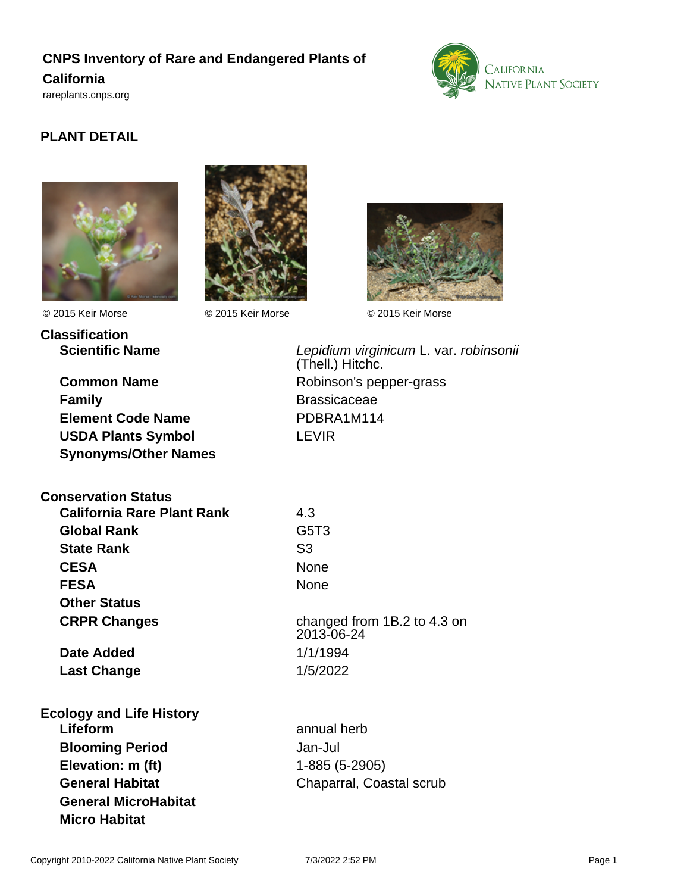# **CNPS Inventory of Rare and Endangered Plants of**

# **California**

<rareplants.cnps.org>



# **PLANT DETAIL**





**Classification**

© 2015 Keir Morse © 2015 Keir Morse © 2015 Keir Morse



**Family Brassicaceae Element Code Name** PDBRA1M114 **USDA Plants Symbol** LEVIR **Synonyms/Other Names**

**Scientific Name Lepidium virginicum L. var. robinsonii** (Thell.) Hitchc. **Common Name** Robinson's pepper-grass

| <b>Conservation Status</b>        |                               |
|-----------------------------------|-------------------------------|
| <b>California Rare Plant Rank</b> | 4.3                           |
| <b>Global Rank</b>                | G <sub>5</sub> T <sub>3</sub> |
| <b>State Rank</b>                 | S <sub>3</sub>                |
| <b>CESA</b>                       | None                          |
| <b>FESA</b>                       | None                          |
| <b>Other Status</b>               |                               |
| <b>CRPR Changes</b>               | changed<br>2013-06-           |
| Date Added                        | 1/1/1994                      |

**Last Change** 1/5/2022

**Ecology and Life History Lifeform** annual herb **Blooming Period** Jan-Jul **Elevation: m (ft)** 1-885 (5-2905) **General MicroHabitat Micro Habitat**

changed from 1B.2 to 4.3 on 2013-06-24

**General Habitat** Chaparral, Coastal scrub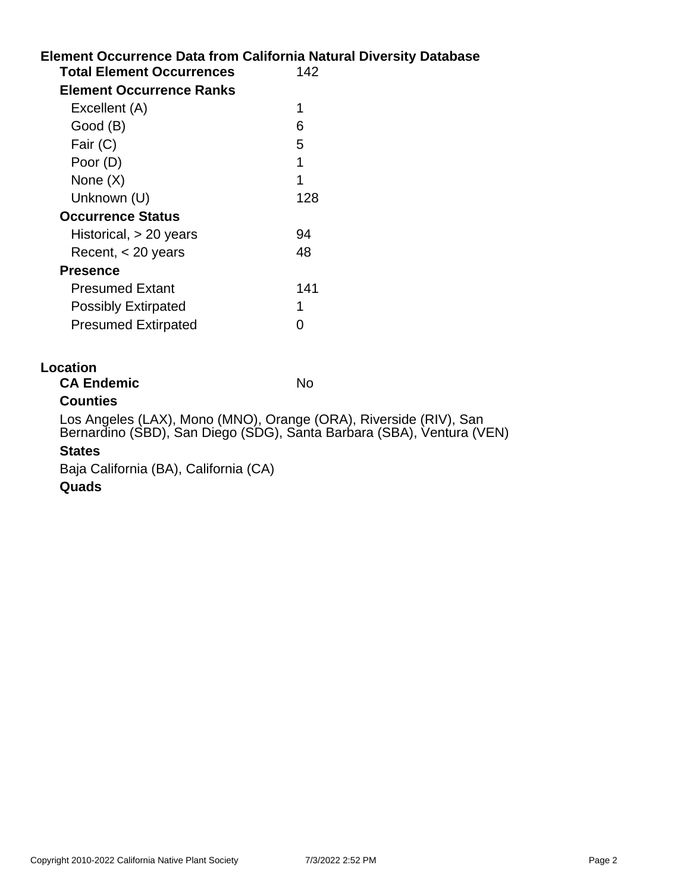|                                  | <b>Element Occurrence Data from California Natural Diversity Database</b> |
|----------------------------------|---------------------------------------------------------------------------|
| <b>Total Element Occurrences</b> | 142                                                                       |
| <b>Element Occurrence Ranks</b>  |                                                                           |
| Excellent (A)                    | 1                                                                         |
| Good (B)                         | 6                                                                         |
| Fair (C)                         | 5                                                                         |
| Poor (D)                         | 1                                                                         |
| None $(X)$                       | 1                                                                         |
| Unknown (U)                      | 128                                                                       |
| <b>Occurrence Status</b>         |                                                                           |
| Historical, > 20 years           | 94                                                                        |
| Recent, $<$ 20 years             | 48                                                                        |
| <b>Presence</b>                  |                                                                           |
| <b>Presumed Extant</b>           | 141                                                                       |
| <b>Possibly Extirpated</b>       | 1                                                                         |
| <b>Presumed Extirpated</b>       | 0                                                                         |
| <b>Location</b>                  |                                                                           |
| <b>CA Endemic</b>                | No                                                                        |

# **Counties**

Los Angeles (LAX), Mono (MNO), Orange (ORA), Riverside (RIV), San Bernardino (SBD), San Diego (SDG), Santa Barbara (SBA), Ventura (VEN)

# **States**

Baja California (BA), California (CA)

# **Quads**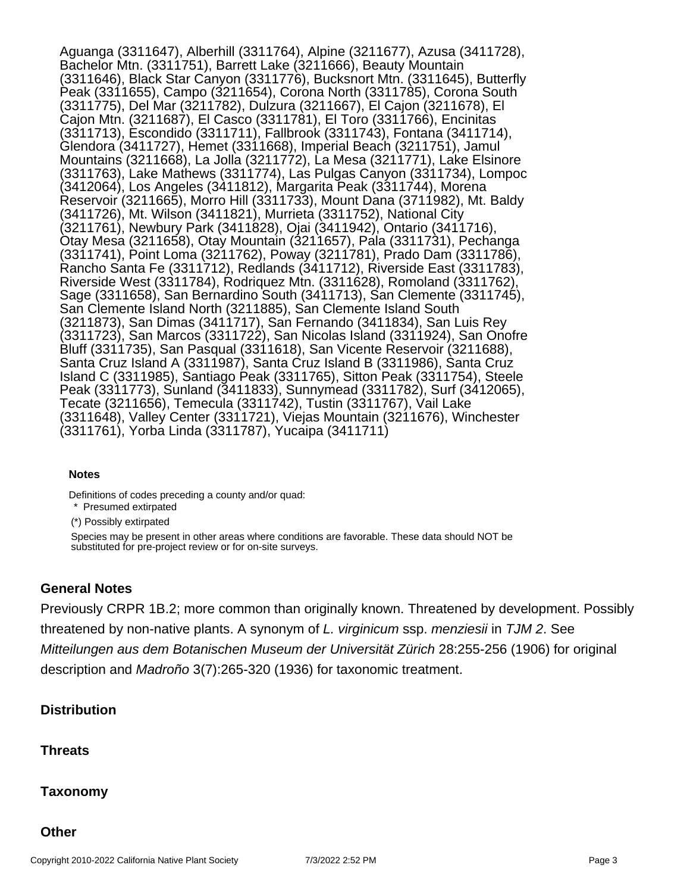Aguanga (3311647), Alberhill (3311764), Alpine (3211677), Azusa (3411728), Bachelor Mtn. (3311751), Barrett Lake (3211666), Beauty Mountain (3311646), Black Star Canyon (3311776), Bucksnort Mtn. (3311645), Butterfly Peak (3311655), Campo (3211654), Corona North (3311785), Corona South (3311775), Del Mar (3211782), Dulzura (3211667), El Cajon (3211678), El Cajon Mtn. (3211687), El Casco (3311781), El Toro (3311766), Encinitas (3311713), Escondido (3311711), Fallbrook (3311743), Fontana (3411714), Glendora (3411727), Hemet (3311668), Imperial Beach (3211751), Jamul Mountains (3211668), La Jolla (3211772), La Mesa (3211771), Lake Elsinore (3311763), Lake Mathews (3311774), Las Pulgas Canyon (3311734), Lompoc (3412064), Los Angeles (3411812), Margarita Peak (3311744), Morena Reservoir (3211665), Morro Hill (3311733), Mount Dana (3711982), Mt. Baldy (3411726), Mt. Wilson (3411821), Murrieta (3311752), National City (3211761), Newbury Park (3411828), Ojai (3411942), Ontario (3411716), Otay Mesa (3211658), Otay Mountain (3211657), Pala (3311731), Pechanga (3311741), Point Loma (3211762), Poway (3211781), Prado Dam (3311786), Rancho Santa Fe (3311712), Redlands (3411712), Riverside East (3311783), Riverside West (3311784), Rodriquez Mtn. (3311628), Romoland (3311762), Sage (3311658), San Bernardino South (3411713), San Clemente (3311745), San Clemente Island North (3211885), San Clemente Island South (3211873), San Dimas (3411717), San Fernando (3411834), San Luis Rey (3311723), San Marcos (3311722), San Nicolas Island (3311924), San Onofre Bluff (3311735), San Pasqual (3311618), San Vicente Reservoir (3211688), Santa Cruz Island A (3311987), Santa Cruz Island B (3311986), Santa Cruz Island C (3311985), Santiago Peak (3311765), Sitton Peak (3311754), Steele Peak (3311773), Sunland (3411833), Sunnymead (3311782), Surf (3412065), Tecate (3211656), Temecula (3311742), Tustin (3311767), Vail Lake (3311648), Valley Center (3311721), Viejas Mountain (3211676), Winchester (3311761), Yorba Linda (3311787), Yucaipa (3411711)

### **Notes**

Definitions of codes preceding a county and/or quad:

\* Presumed extirpated

(\*) Possibly extirpated

Species may be present in other areas where conditions are favorable. These data should NOT be substituted for pre-project review or for on-site surveys.

# **General Notes**

Previously CRPR 1B.2; more common than originally known. Threatened by development. Possibly threatened by non-native plants. A synonym of L. virginicum ssp. menziesii in TJM 2. See Mitteilungen aus dem Botanischen Museum der Universität Zürich 28:255-256 (1906) for original description and Madroño 3(7):265-320 (1936) for taxonomic treatment.

# **Distribution**

# **Threats**

### **Taxonomy**

### **Other**